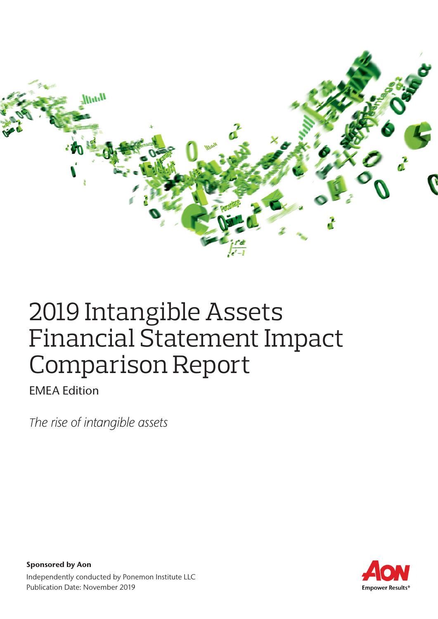

# 2019 Intangible Assets Financial Statement Impact Comparison Report

EMEA Edition

*The rise of intangible assets*

Empower Results®

Sponsored by Aon Independently conducted by Ponemon Institute LLC Publication Date: November 2019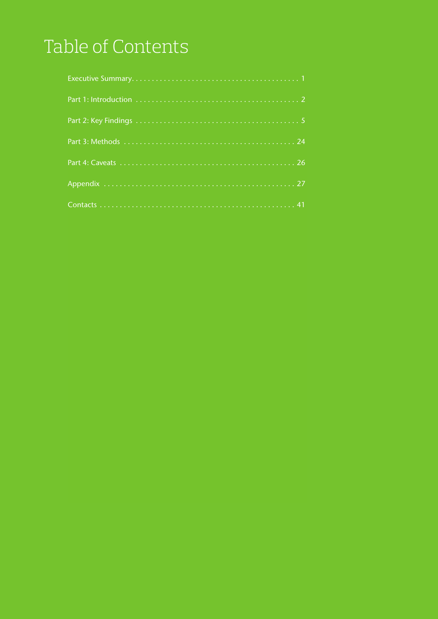# Table of Contents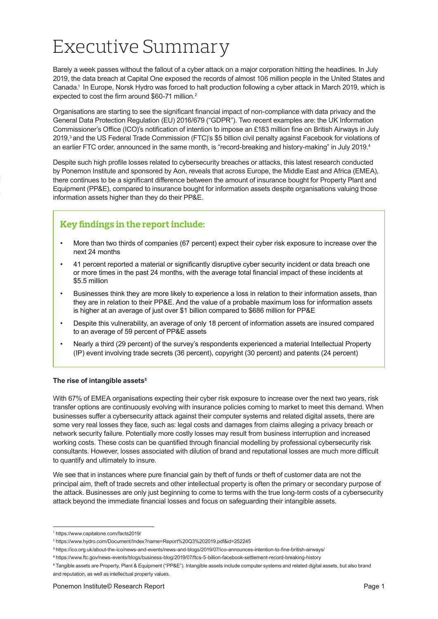# Executive Summary

Barely a week passes without the fallout of a cyber attack on a major corporation hitting the headlines. In July 2019, the data breach at Capital One exposed the records of almost 106 million people in the United States and Canada.1 In Europe, Norsk Hydro was forced to halt production following a cyber attack in March 2019, which is expected to cost the firm around \$60-71 million.<sup>2</sup>

Organisations are starting to see the significant financial impact of non-compliance with data privacy and the General Data Protection Regulation (EU) 2016/679 ("GDPR"). Two recent examples are: the UK Information Commissioner's Office (ICO)'s notification of intention to impose an £183 million fine on British Airways in July 2019,3 and the US Federal Trade Commission (FTC)'s \$5 billion civil penalty against Facebook for violations of an earlier FTC order, announced in the same month, is "record-breaking and history-making" in July 2019.<sup>4</sup>

Despite such high profile losses related to cybersecurity breaches or attacks, this latest research conducted by Ponemon Institute and sponsored by Aon, reveals that across Europe, the Middle East and Africa (EMEA), there continues to be a significant difference between the amount of insurance bought for Property Plant and Equipment (PP&E), compared to insurance bought for information assets despite organisations valuing those information assets higher than they do their PP&E.

### **Key findings in the report include:**

- More than two thirds of companies (67 percent) expect their cyber risk exposure to increase over the next 24 months
- 41 percent reported a material or significantly disruptive cyber security incident or data breach one or more times in the past 24 months, with the average total financial impact of these incidents at \$5.5 million
- Businesses think they are more likely to experience a loss in relation to their information assets, than they are in relation to their PP&E. And the value of a probable maximum loss for information assets is higher at an average of just over \$1 billion compared to \$686 million for PP&E
- Despite this vulnerability, an average of only 18 percent of information assets are insured compared to an average of 59 percent of PP&E assets
- Nearly a third (29 percent) of the survey's respondents experienced a material Intellectual Property (IP) event involving trade secrets (36 percent), copyright (30 percent) and patents (24 percent)

#### **The rise of intangible assets5**

With 67% of EMEA organisations expecting their cyber risk exposure to increase over the next two years, risk transfer options are continuously evolving with insurance policies coming to market to meet this demand. When businesses suffer a cybersecurity attack against their computer systems and related digital assets, there are some very real losses they face, such as: legal costs and damages from claims alleging a privacy breach or network security failure. Potentially more costly losses may result from business interruption and increased working costs. These costs can be quantified through financial modelling by professional cybersecurity risk consultants. However, losses associated with dilution of brand and reputational losses are much more difficult to quantify and ultimately to insure.

We see that in instances where pure financial gain by theft of funds or theft of customer data are not the principal aim, theft of trade secrets and other intellectual property is often the primary or secondary purpose of the attack. Businesses are only just beginning to come to terms with the true long-term costs of a cybersecurity attack beyond the immediate financial losses and focus on safeguarding their intangible assets.

<sup>1</sup> https://www.capitalone.com/facts2019/

<sup>2</sup> https://www.hydro.com/Document/Index?name=Report%20Q3%202019.pdf&id=252245

³ https://ico.org.uk/about-the-ico/news-and-events/news-and-blogs/2019/07/ico-announces-intention-to-fine-british-airways/

⁴ https://www.ftc.gov/news-events/blogs/business-blog/2019/07/ftcs-5-billion-facebook-settlement-record-breaking-history

⁵ Tangible assets are Property, Plant & Equipment ("PP&E"). Intangible assets include computer systems and related digital assets, but also brand and reputation, as well as intellectual property values.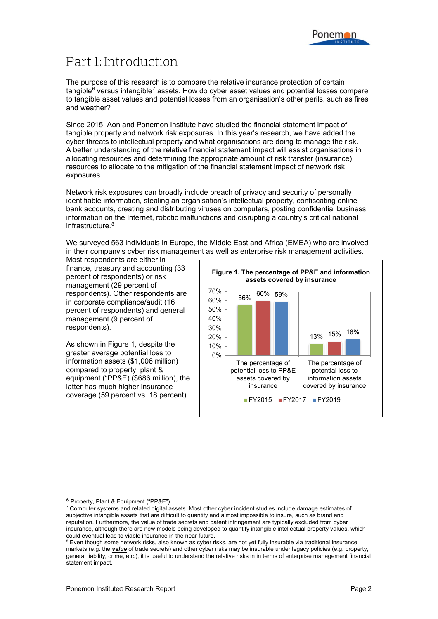## Part 1: Introduction

The purpose of this research is to compare the relative insurance protection of certain  $t$ angible<sup>[6](#page-3-0)</sup> versus intangible<sup>[7](#page-3-1)</sup> assets. How do cyber asset values and potential losses compare to tangible asset values and potential losses from an organisation's other perils, such as fires and weather?

Since 2015, Aon and Ponemon Institute have studied the financial statement impact of tangible property and network risk exposures. In this year's research, we have added the cyber threats to intellectual property and what organisations are doing to manage the risk. A better understanding of the relative financial statement impact will assist organisations in allocating resources and determining the appropriate amount of risk transfer (insurance) resources to allocate to the mitigation of the financial statement impact of network risk exposures.

Network risk exposures can broadly include breach of privacy and security of personally identifiable information, stealing an organisation's intellectual property, confiscating online bank accounts, creating and distributing viruses on computers, posting confidential business information on the Internet, robotic malfunctions and disrupting a country's critical national infrastructure.<sup>[8](#page-3-2)</sup>

We surveyed 563 individuals in Europe, the Middle East and Africa (EMEA) who are involved in their company's cyber risk management as well as enterprise risk management activities.

Most respondents are either in finance, treasury and accounting (33 percent of respondents) or risk management (29 percent of respondents). Other respondents are in corporate compliance/audit (16 percent of respondents) and general management (9 percent of respondents).

As shown in Figure 1, despite the greater average potential loss to information assets (\$1,006 million) compared to property, plant & equipment ("PP&E) (\$686 million), the latter has much higher insurance coverage (59 percent vs. 18 percent).



<span id="page-3-0"></span><sup>6</sup> Property, Plant & Equipment ("PP&E")

<span id="page-3-1"></span> $^7$  Computer systems and related digital assets. Most other cyber incident studies include damage estimates of subjective intangible assets that are difficult to quantify and almost impossible to insure, such as brand and reputation. Furthermore, the value of trade secrets and patent infringement are typically excluded from cyber insurance, although there are new models being developed to quantify intangible intellectual property values, which could eventual lead to viable insurance in the near future.

<span id="page-3-2"></span> $8$  Even though some network risks, also known as cyber risks, are not yet fully insurable via traditional insurance markets (e.g. the *value* of trade secrets) and other cyber risks may be insurable under legacy policies (e.g. property, general liability, crime, etc.), it is useful to understand the relative risks in in terms of enterprise management financial statement impact.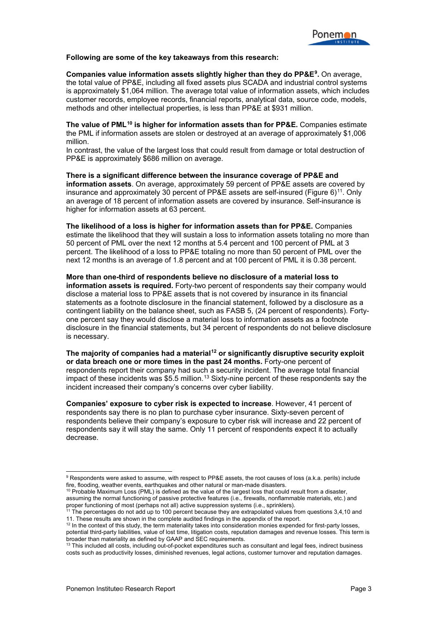#### **Following are some of the key takeaways from this research:**

**Companies value information assets slightly higher than they do PP&E[9](#page-4-0).** On average, the total value of PP&E, including all fixed assets plus SCADA and industrial control systems is approximately \$1,064 million. The average total value of information assets, which includes customer records, employee records, financial reports, analytical data, source code, models, methods and other intellectual properties, is less than PP&E at \$931 million.

**The value of PML[10](#page-4-1) is higher for information assets than for PP&E.** Companies estimate the PML if information assets are stolen or destroyed at an average of approximately \$1,006 million.

In contrast, the value of the largest loss that could result from damage or total destruction of PP&E is approximately \$686 million on average.

**There is a significant difference between the insurance coverage of PP&E and information assets**. On average, approximately 59 percent of PP&E assets are covered by insurance and approximately 30 percent of PP&E assets are self-insured (Figure  $6$ )<sup>11</sup>. Only an average of 18 percent of information assets are covered by insurance. Self-insurance is higher for information assets at 63 percent.

**The likelihood of a loss is higher for information assets than for PP&E.** Companies estimate the likelihood that they will sustain a loss to information assets totaling no more than 50 percent of PML over the next 12 months at 5.4 percent and 100 percent of PML at 3 percent. The likelihood of a loss to PP&E totaling no more than 50 percent of PML over the next 12 months is an average of 1.8 percent and at 100 percent of PML it is 0.38 percent.

**More than one-third of respondents believe no disclosure of a material loss to information assets is required.** Forty-two percent of respondents say their company would disclose a material loss to PP&E assets that is not covered by insurance in its financial statements as a footnote disclosure in the financial statement, followed by a disclosure as a contingent liability on the balance sheet, such as FASB 5, (24 percent of respondents). Fortyone percent say they would disclose a material loss to information assets as a footnote disclosure in the financial statements, but 34 percent of respondents do not believe disclosure is necessary.

**The majority of companies had a material[12](#page-4-3) or significantly disruptive security exploit or data breach one or more times in the past 24 months.** Forty-one percent of respondents report their company had such a security incident. The average total financial impact of these incidents was \$5.5 million.<sup>[13](#page-4-4)</sup> Sixty-nine percent of these respondents say the incident increased their company's concerns over cyber liability.

**Companies' exposure to cyber risk is expected to increase**. However, 41 percent of respondents say there is no plan to purchase cyber insurance. Sixty-seven percent of respondents believe their company's exposure to cyber risk will increase and 22 percent of respondents say it will stay the same. Only 11 percent of respondents expect it to actually decrease.

<span id="page-4-0"></span> $^9$  Respondents were asked to assume, with respect to PP&E assets, the root causes of loss (a.k.a. perils) include fire, flooding, weather events, earthquakes and other natural or man-made disasters.

<span id="page-4-1"></span> $10$  Probable Maximum Loss (PML) is defined as the value of the largest loss that could result from a disaster, assuming the normal functioning of passive protective features (i.e., firewalls, nonflammable materials, etc.) and proper functioning of most (perhaps not all) active suppression systems (i.e., sprinklers).

<span id="page-4-2"></span><sup>&</sup>lt;sup>11</sup> The percentages do not add up to 100 percent because they are extrapolated values from questions 3,4,10 and 11. These results are shown in the complete audited findings in the appendix of the report.

<span id="page-4-3"></span><sup>12</sup> In the context of this study, the term materiality takes into consideration monies expended for first-party losses, potential third-party liabilities, value of lost time, litigation costs, reputation damages and revenue losses. This term is broader than materiality as defined by GAAP and SEC requirements.

<span id="page-4-4"></span><sup>&</sup>lt;sup>13</sup> This included all costs, including out-of-pocket expenditures such as consultant and legal fees, indirect business costs such as productivity losses, diminished revenues, legal actions, customer turnover and reputation damages.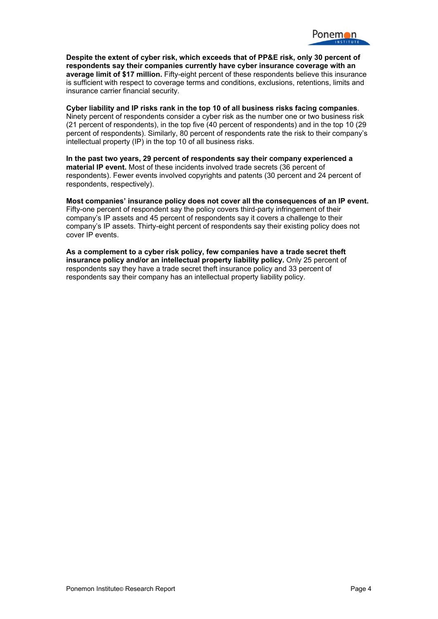

**Despite the extent of cyber risk, which exceeds that of PP&E risk, only 30 percent of respondents say their companies currently have cyber insurance coverage with an average limit of \$17 million.** Fifty-eight percent of these respondents believe this insurance is sufficient with respect to coverage terms and conditions, exclusions, retentions, limits and insurance carrier financial security.

**Cyber liability and IP risks rank in the top 10 of all business risks facing companies**. Ninety percent of respondents consider a cyber risk as the number one or two business risk (21 percent of respondents), in the top five (40 percent of respondents) and in the top 10 (29 percent of respondents). Similarly, 80 percent of respondents rate the risk to their company's intellectual property (IP) in the top 10 of all business risks.

**In the past two years, 29 percent of respondents say their company experienced a material IP event.** Most of these incidents involved trade secrets (36 percent of respondents). Fewer events involved copyrights and patents (30 percent and 24 percent of respondents, respectively).

**Most companies' insurance policy does not cover all the consequences of an IP event.**  Fifty-one percent of respondent say the policy covers third-party infringement of their company's IP assets and 45 percent of respondents say it covers a challenge to their company's IP assets. Thirty-eight percent of respondents say their existing policy does not cover IP events.

**As a complement to a cyber risk policy, few companies have a trade secret theft insurance policy and/or an intellectual property liability policy.** Only 25 percent of respondents say they have a trade secret theft insurance policy and 33 percent of respondents say their company has an intellectual property liability policy.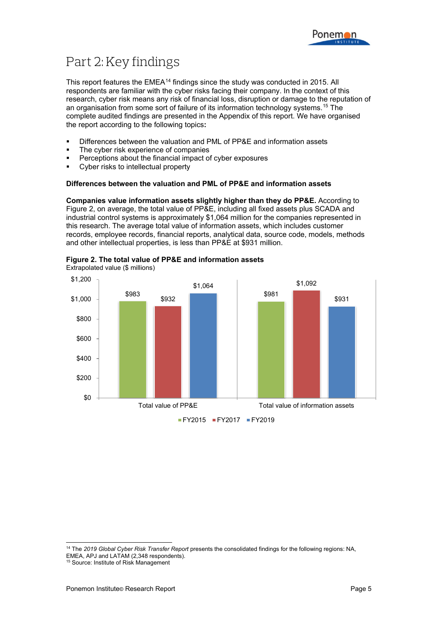

# Part 2: Key findings

This report features the EMEA<sup>[14](#page-6-0)</sup> findings since the study was conducted in 2015. All respondents are familiar with the cyber risks facing their company. In the context of this research, cyber risk means any risk of financial loss, disruption or damage to the reputation of an organisation from some sort of failure of its information technology systems.[15](#page-6-1) The complete audited findings are presented in the Appendix of this report. We have organised the report according to the following topics**:**

- Differences between the valuation and PML of PP&E and information assets
- The cyber risk experience of companies
- **Perceptions about the financial impact of cyber exposures**
- Cyber risks to intellectual property

#### **Differences between the valuation and PML of PP&E and information assets**

**Companies value information assets slightly higher than they do PP&E.** According to Figure 2, on average, the total value of PP&E, including all fixed assets plus SCADA and industrial control systems is approximately \$1,064 million for the companies represented in this research. The average total value of information assets, which includes customer records, employee records, financial reports, analytical data, source code, models, methods and other intellectual properties, is less than PP&E at \$931 million.



#### **Figure 2. The total value of PP&E and information assets**

<span id="page-6-0"></span> <sup>14</sup> The *2019 Global Cyber Risk Transfer Report* presents the consolidated findings for the following regions: NA, EMEA, APJ and LATAM (2,348 respondents).

<span id="page-6-1"></span><sup>15</sup> Source: Institute of Risk Management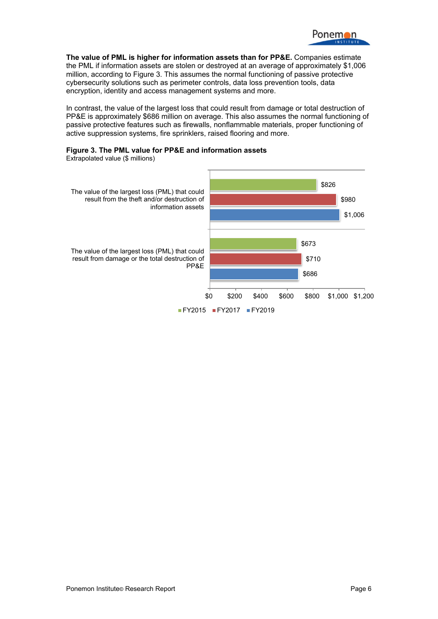

**The value of PML is higher for information assets than for PP&E.** Companies estimate the PML if information assets are stolen or destroyed at an average of approximately \$1,006 million, according to Figure 3. This assumes the normal functioning of passive protective cybersecurity solutions such as perimeter controls, data loss prevention tools, data encryption, identity and access management systems and more.

In contrast, the value of the largest loss that could result from damage or total destruction of PP&E is approximately \$686 million on average. This also assumes the normal functioning of passive protective features such as firewalls, nonflammable materials, proper functioning of active suppression systems, fire sprinklers, raised flooring and more.



Extrapolated value (\$ millions)

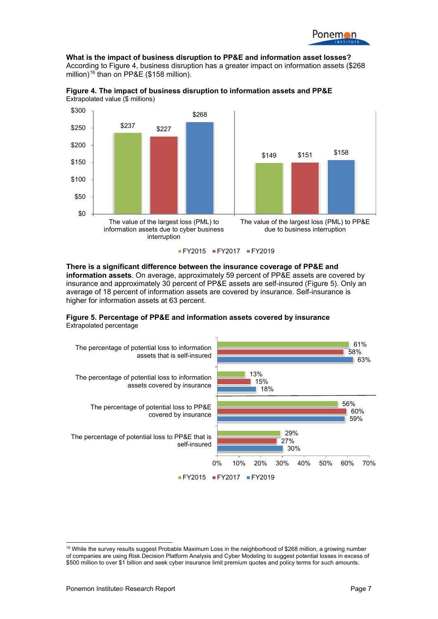**What is the impact of business disruption to PP&E and information asset losses?** According to Figure 4, business disruption has a greater impact on information assets (\$268 million)<sup>[16](#page-8-0)</sup> than on PP&E (\$158 million).



**Figure 4. The impact of business disruption to information assets and PP&E** Extrapolated value (\$ millions)

FY2015 FY2017 FY2019

**There is a significant difference between the insurance coverage of PP&E and information assets**. On average, approximately 59 percent of PP&E assets are covered by insurance and approximately 30 percent of PP&E assets are self-insured (Figure 5). Only an average of 18 percent of information assets are covered by insurance. Self-insurance is higher for information assets at 63 percent.





<span id="page-8-0"></span> $16$  While the survey results suggest Probable Maximum Loss in the neighborhood of \$268 million, a growing number of companies are using Risk Decision Platform Analysis and Cyber Modeling to suggest potential losses in excess of \$500 million to over \$1 billion and seek cyber insurance limit premium quotes and policy terms for such amounts.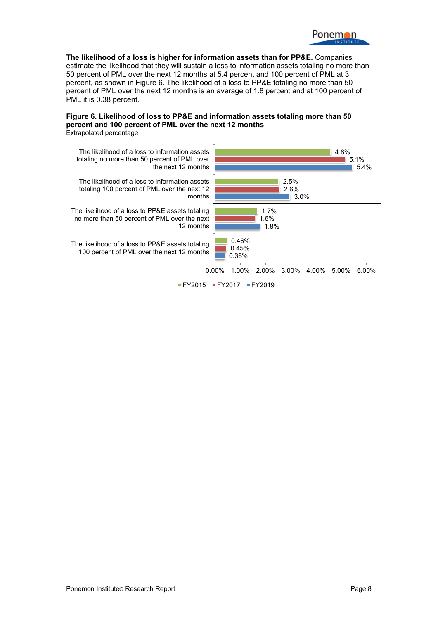

**The likelihood of a loss is higher for information assets than for PP&E.** Companies estimate the likelihood that they will sustain a loss to information assets totaling no more than 50 percent of PML over the next 12 months at 5.4 percent and 100 percent of PML at 3 percent, as shown in Figure 6. The likelihood of a loss to PP&E totaling no more than 50 percent of PML over the next 12 months is an average of 1.8 percent and at 100 percent of PML it is 0.38 percent.

#### **Figure 6. Likelihood of loss to PP&E and information assets totaling more than 50 percent and 100 percent of PML over the next 12 months**  Extrapolated percentage

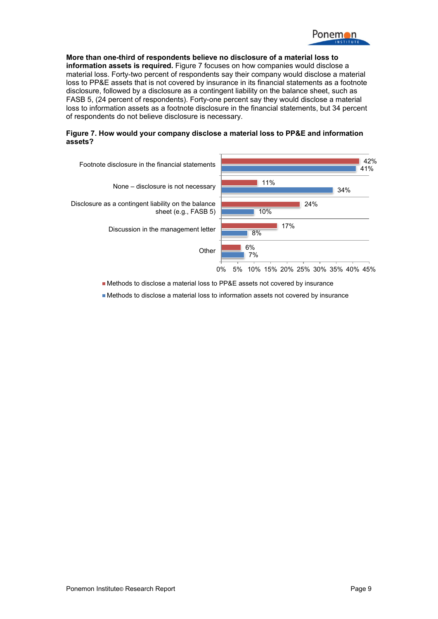

**More than one-third of respondents believe no disclosure of a material loss to information assets is required.** Figure 7 focuses on how companies would disclose a material loss. Forty-two percent of respondents say their company would disclose a material loss to PP&E assets that is not covered by insurance in its financial statements as a footnote disclosure, followed by a disclosure as a contingent liability on the balance sheet, such as FASB 5, (24 percent of respondents). Forty-one percent say they would disclose a material loss to information assets as a footnote disclosure in the financial statements, but 34 percent of respondents do not believe disclosure is necessary.

#### **Figure 7. How would your company disclose a material loss to PP&E and information assets?**



Methods to disclose a material loss to PP&E assets not covered by insurance

Methods to disclose a material loss to information assets not covered by insurance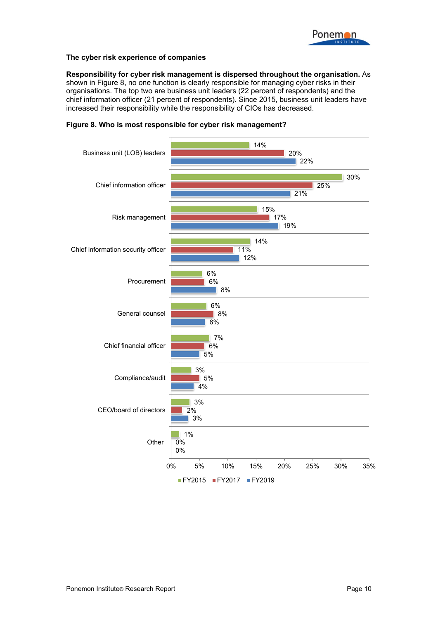

#### **The cyber risk experience of companies**

**Responsibility for cyber risk management is dispersed throughout the organisation.** As shown in Figure 8, no one function is clearly responsible for managing cyber risks in their organisations. The top two are business unit leaders (22 percent of respondents) and the chief information officer (21 percent of respondents). Since 2015, business unit leaders have increased their responsibility while the responsibility of CIOs has decreased.



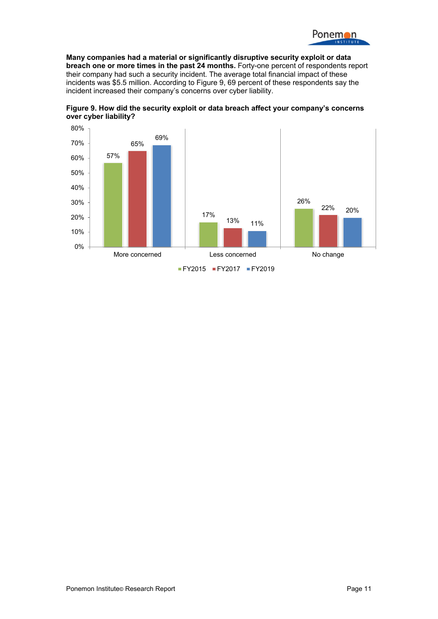

**Many companies had a material or significantly disruptive security exploit or data breach one or more times in the past 24 months.** Forty-one percent of respondents report their company had such a security incident. The average total financial impact of these incidents was \$5.5 million. According to Figure 9, 69 percent of these respondents say the incident increased their company's concerns over cyber liability.



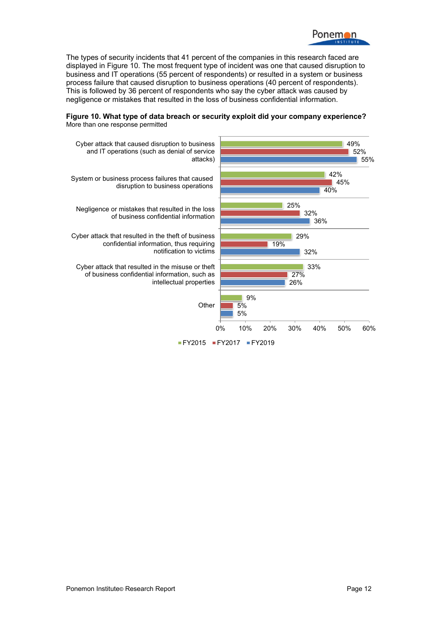

The types of security incidents that 41 percent of the companies in this research faced are displayed in Figure 10. The most frequent type of incident was one that caused disruption to business and IT operations (55 percent of respondents) or resulted in a system or business process failure that caused disruption to business operations (40 percent of respondents). This is followed by 36 percent of respondents who say the cyber attack was caused by negligence or mistakes that resulted in the loss of business confidential information.



**Figure 10. What type of data breach or security exploit did your company experience?**  More than one response permitted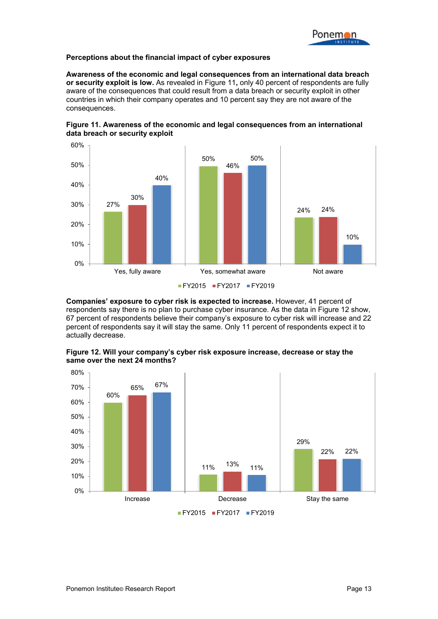#### **Perceptions about the financial impact of cyber exposures**

**Awareness of the economic and legal consequences from an international data breach or security exploit is low.** As revealed in Figure 11**,** only 40 percent of respondents are fully aware of the consequences that could result from a data breach or security exploit in other countries in which their company operates and 10 percent say they are not aware of the consequences.



**Figure 11. Awareness of the economic and legal consequences from an international data breach or security exploit** 

**Companies' exposure to cyber risk is expected to increase.** However, 41 percent of respondents say there is no plan to purchase cyber insurance. As the data in Figure 12 show, 67 percent of respondents believe their company's exposure to cyber risk will increase and 22 percent of respondents say it will stay the same. Only 11 percent of respondents expect it to actually decrease.



**Figure 12. Will your company's cyber risk exposure increase, decrease or stay the same over the next 24 months?** 

FY2015 FY2017 FY2019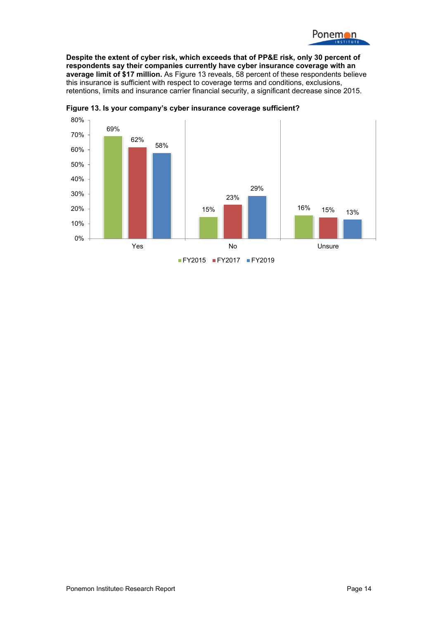

**Despite the extent of cyber risk, which exceeds that of PP&E risk, only 30 percent of respondents say their companies currently have cyber insurance coverage with an average limit of \$17 million.** As Figure 13 reveals, 58 percent of these respondents believe this insurance is sufficient with respect to coverage terms and conditions, exclusions, retentions, limits and insurance carrier financial security, a significant decrease since 2015.



**Figure 13. Is your company's cyber insurance coverage sufficient?**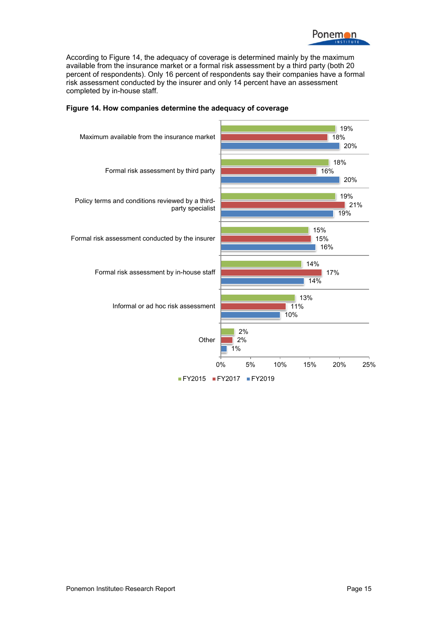

According to Figure 14, the adequacy of coverage is determined mainly by the maximum available from the insurance market or a formal risk assessment by a third party (both 20 percent of respondents). Only 16 percent of respondents say their companies have a formal risk assessment conducted by the insurer and only 14 percent have an assessment completed by in-house staff.



#### **Figure 14. How companies determine the adequacy of coverage**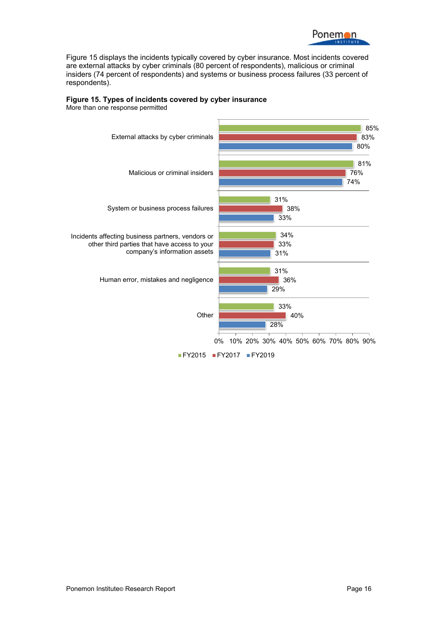

Figure 15 displays the incidents typically covered by cyber insurance. Most incidents covered are external attacks by cyber criminals (80 percent of respondents), malicious or criminal insiders (74 percent of respondents) and systems or business process failures (33 percent of respondents).



### **Figure 15. Types of incidents covered by cyber insurance**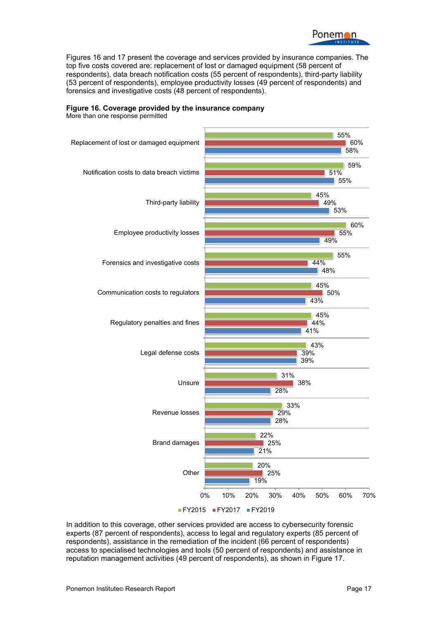

Figures 16 and 17 present the coverage and services provided by insurance companies. The top five costs covered are: replacement of lost or damaged equipment (58 percent of respondents), data breach notification costs (55 percent of respondents), third-party liability (53 percent of respondents), employee productivity losses (49 percent of respondents) and forensics and investigative costs (48 percent of respondents).



#### **Figure 16. Coverage provided by the insurance company**

In addition to this coverage, other services provided are access to cybersecurity forensic experts (87 percent of respondents), access to legal and regulatory experts (85 percent of respondents), assistance in the remediation of the incident (66 percent of respondents) access to specialised technologies and tools (50 percent of respondents) and assistance in reputation management activities (49 percent of respondents), as shown in Figure 17.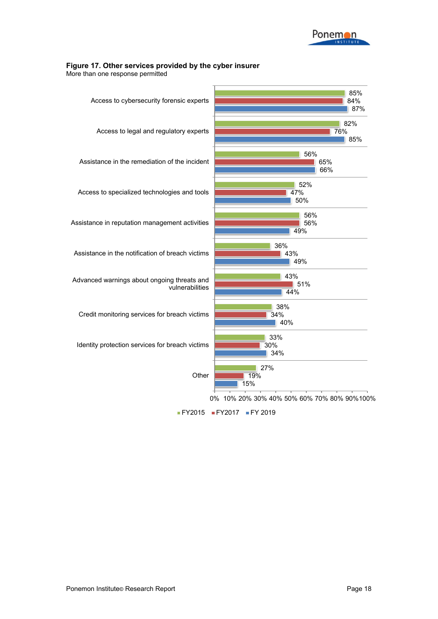

#### **Figure 17. Other services provided by the cyber insurer**

More than one response permitted



FY2015 FY2017 FY 2019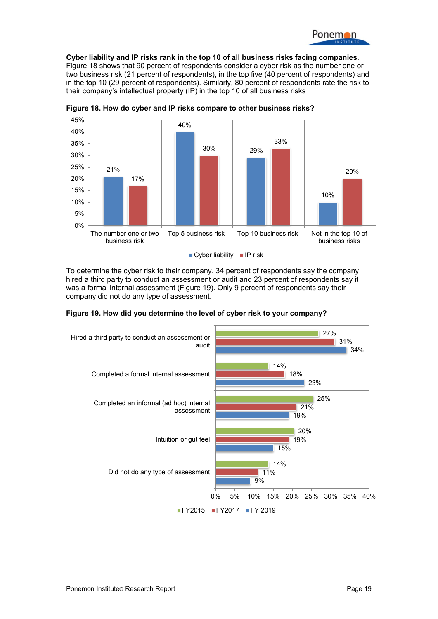

**Cyber liability and IP risks rank in the top 10 of all business risks facing companies**. Figure 18 shows that 90 percent of respondents consider a cyber risk as the number one or two business risk (21 percent of respondents), in the top five (40 percent of respondents) and in the top 10 (29 percent of respondents). Similarly, 80 percent of respondents rate the risk to their company's intellectual property (IP) in the top 10 of all business risks



**Figure 18. How do cyber and IP risks compare to other business risks?**

 $\blacksquare$  Cyber liability  $\blacksquare$  IP risk

To determine the cyber risk to their company, 34 percent of respondents say the company hired a third party to conduct an assessment or audit and 23 percent of respondents say it was a formal internal assessment (Figure 19). Only 9 percent of respondents say their company did not do any type of assessment.



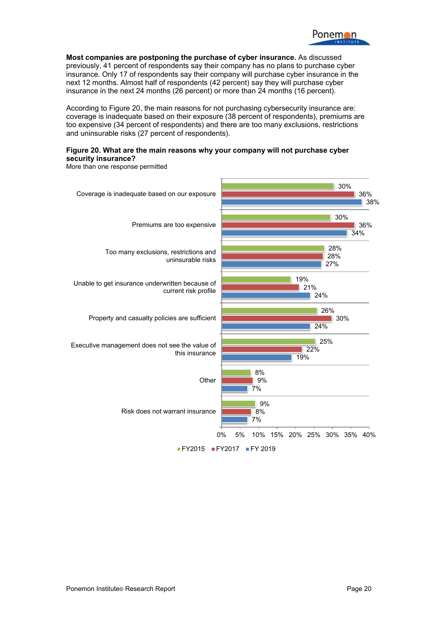

**Most companies are postponing the purchase of cyber insurance.** As discussed previously, 41 percent of respondents say their company has no plans to purchase cyber insurance. Only 17 of respondents say their company will purchase cyber insurance in the next 12 months. Almost half of respondents (42 percent) say they will purchase cyber insurance in the next 24 months (26 percent) or more than 24 months (16 percent).

According to Figure 20, the main reasons for not purchasing cybersecurity insurance are: coverage is inadequate based on their exposure (38 percent of respondents), premiums are too expensive (34 percent of respondents) and there are too many exclusions, restrictions and uninsurable risks (27 percent of respondents).

#### **Figure 20. What are the main reasons why your company will not purchase cyber security insurance?**

More than one response permitted

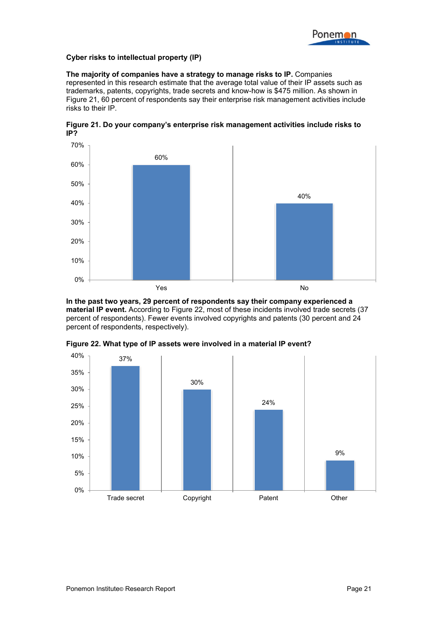

#### **Cyber risks to intellectual property (IP)**

**The majority of companies have a strategy to manage risks to IP.** Companies represented in this research estimate that the average total value of their IP assets such as trademarks, patents, copyrights, trade secrets and know-how is \$475 million. As shown in Figure 21, 60 percent of respondents say their enterprise risk management activities include risks to their IP.



**Figure 21. Do your company's enterprise risk management activities include risks to IP?** 

**In the past two years, 29 percent of respondents say their company experienced a material IP event.** According to Figure 22, most of these incidents involved trade secrets (37 percent of respondents). Fewer events involved copyrights and patents (30 percent and 24 percent of respondents, respectively).



**Figure 22. What type of IP assets were involved in a material IP event?**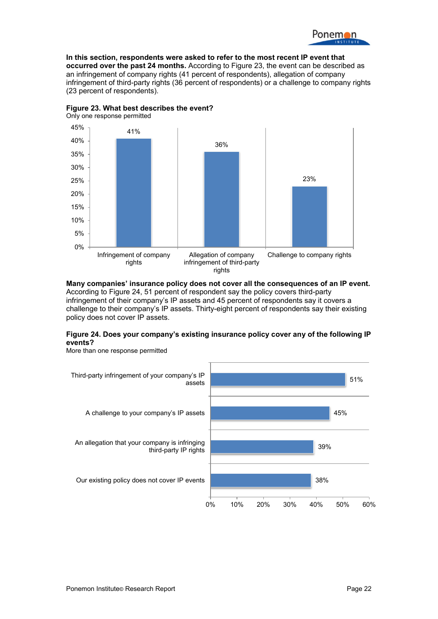

**In this section, respondents were asked to refer to the most recent IP event that occurred over the past 24 months.** According to Figure 23, the event can be described as an infringement of company rights (41 percent of respondents), allegation of company infringement of third-party rights (36 percent of respondents) or a challenge to company rights (23 percent of respondents).



Only one response permitted



**Many companies' insurance policy does not cover all the consequences of an IP event.**  According to Figure 24, 51 percent of respondent say the policy covers third-party infringement of their company's IP assets and 45 percent of respondents say it covers a challenge to their company's IP assets. Thirty-eight percent of respondents say their existing policy does not cover IP assets.

#### **Figure 24. Does your company's existing insurance policy cover any of the following IP events?**

38% 39% 45% 51% 0% 10% 20% 30% 40% 50% 60% Our existing policy does not cover IP events An allegation that your company is infringing third-party IP rights A challenge to your company's IP assets Third-party infringement of your company's IP assets

More than one response permitted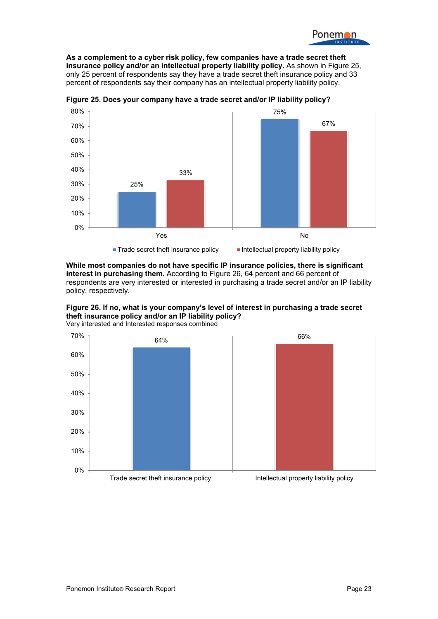

**As a complement to a cyber risk policy, few companies have a trade secret theft insurance policy and/or an intellectual property liability policy.** As shown in Figure 25, only 25 percent of respondents say they have a trade secret theft insurance policy and 33 percent of respondents say their company has an intellectual property liability policy.



**Figure 25. Does your company have a trade secret and/or IP liability policy?** 

**While most companies do not have specific IP insurance policies, there is significant interest in purchasing them.** According to Figure 26, 64 percent and 66 percent of respondents are very interested or interested in purchasing a trade secret and/or an IP liability policy, respectively.



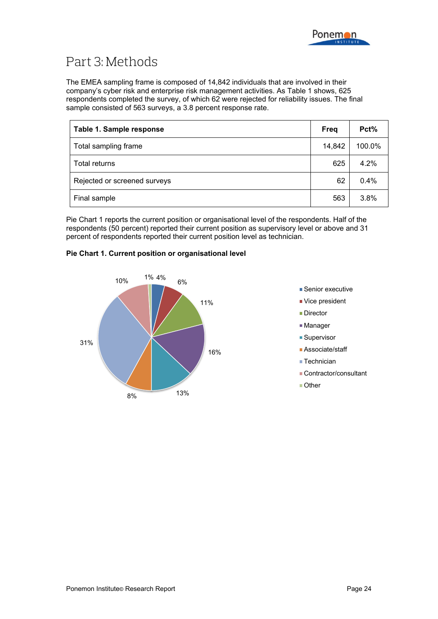

## Part 3: Methods

The EMEA sampling frame is composed of 14,842 individuals that are involved in their company's cyber risk and enterprise risk management activities. As Table 1 shows, 625 respondents completed the survey, of which 62 were rejected for reliability issues. The final sample consisted of 563 surveys, a 3.8 percent response rate.

| Table 1. Sample response     | <b>Freg</b> | Pct%   |
|------------------------------|-------------|--------|
| Total sampling frame         | 14,842      | 100.0% |
| Total returns                | 625         | 4.2%   |
| Rejected or screened surveys | 62          | 0.4%   |
| Final sample                 | 563         | 3.8%   |

Pie Chart 1 reports the current position or organisational level of the respondents. Half of the respondents (50 percent) reported their current position as supervisory level or above and 31 percent of respondents reported their current position level as technician.

#### **Pie Chart 1. Current position or organisational level**



- Senior executive
- Vice president
- **Director**
- Manager
- Supervisor
- Associate/staff
- Technician
- **Contractor/consultant**
- Other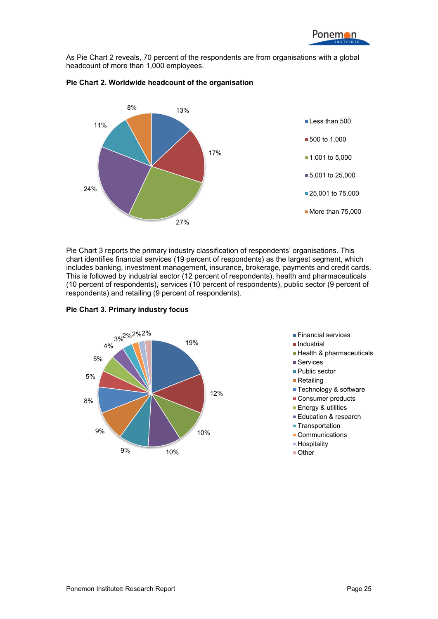As Pie Chart 2 reveals, 70 percent of the respondents are from organisations with a global headcount of more than 1,000 employees.



#### **Pie Chart 2. Worldwide headcount of the organisation**

Pie Chart 3 reports the primary industry classification of respondents' organisations. This chart identifies financial services (19 percent of respondents) as the largest segment, which includes banking, investment management, insurance, brokerage, payments and credit cards. This is followed by industrial sector (12 percent of respondents), health and pharmaceuticals (10 percent of respondents), services (10 percent of respondents), public sector (9 percent of respondents) and retailing (9 percent of respondents).



#### **Pie Chart 3. Primary industry focus**

- 
- **Industrial**
- **Health & pharmaceuticals**
- Services
- Public sector
- Retailing
- **Technology & software**
- Consumer products
- **Energy & utilities**
- **Education & research**
- **Transportation**
- Communications
- Hospitality
- Other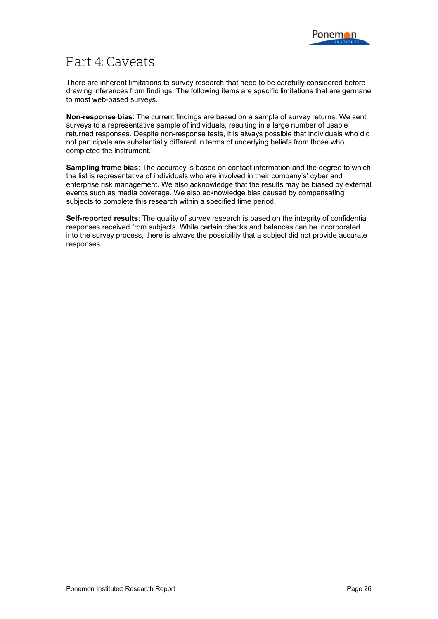

## Part 4: Caveats

There are inherent limitations to survey research that need to be carefully considered before drawing inferences from findings. The following items are specific limitations that are germane to most web-based surveys.

**Non-response bias**: The current findings are based on a sample of survey returns. We sent surveys to a representative sample of individuals, resulting in a large number of usable returned responses. Despite non-response tests, it is always possible that individuals who did not participate are substantially different in terms of underlying beliefs from those who completed the instrument.

**Sampling frame bias**: The accuracy is based on contact information and the degree to which the list is representative of individuals who are involved in their company's' cyber and enterprise risk management. We also acknowledge that the results may be biased by external events such as media coverage. We also acknowledge bias caused by compensating subjects to complete this research within a specified time period.

**Self-reported results**: The quality of survey research is based on the integrity of confidential responses received from subjects. While certain checks and balances can be incorporated into the survey process, there is always the possibility that a subject did not provide accurate responses.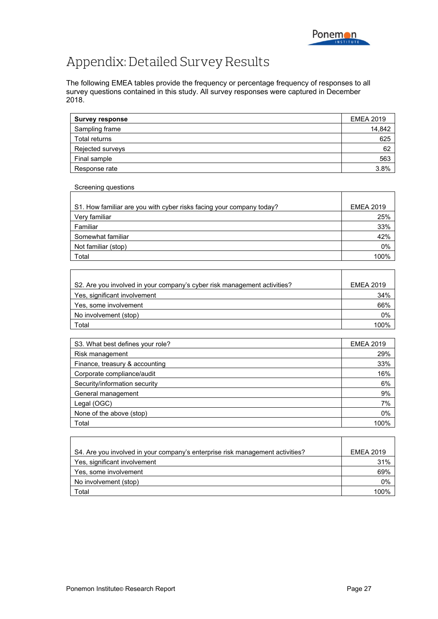# Appendix: Detailed Survey Results

Screening questions

The following EMEA tables provide the frequency or percentage frequency of responses to all survey questions contained in this study. All survey responses were captured in December 2018.

| <b>Survey response</b> | <b>EMEA 2019</b> |
|------------------------|------------------|
| Sampling frame         | 14,842           |
| Total returns          | 625              |
| Rejected surveys       | 62               |
| Final sample           | 563              |
| Response rate          | $3.8\%$          |

| S1. How familiar are you with cyber risks facing your company today? | <b>EMEA 2019</b> |
|----------------------------------------------------------------------|------------------|
| Very familiar                                                        | 25%              |
| Familiar                                                             | 33%              |
| Somewhat familiar                                                    | 42%              |
| Not familiar (stop)                                                  | 0%               |
| Total                                                                | 100%             |

| S2. Are you involved in your company's cyber risk management activities? | <b>EMEA 2019</b> |
|--------------------------------------------------------------------------|------------------|
| Yes, significant involvement                                             | 34%              |
| Yes, some involvement                                                    | 66%              |
| No involvement (stop)                                                    | 0%               |
| Гоtal                                                                    |                  |

| S3. What best defines your role? | <b>EMEA 2019</b> |
|----------------------------------|------------------|
| Risk management                  | 29%              |
| Finance, treasury & accounting   | 33%              |
| Corporate compliance/audit       | 16%              |
| Security/information security    | 6%               |
| General management               | 9%               |
| Legal (OGC)                      | 7%               |
| None of the above (stop)         | 0%               |
| Total                            | 100%             |

| S4. Are you involved in your company's enterprise risk management activities? | <b>EMEA 2019</b> |
|-------------------------------------------------------------------------------|------------------|
| Yes, significant involvement                                                  | 31%              |
| Yes, some involvement                                                         | 69%              |
| No involvement (stop)                                                         | 0%               |
| Total                                                                         | በበባ%             |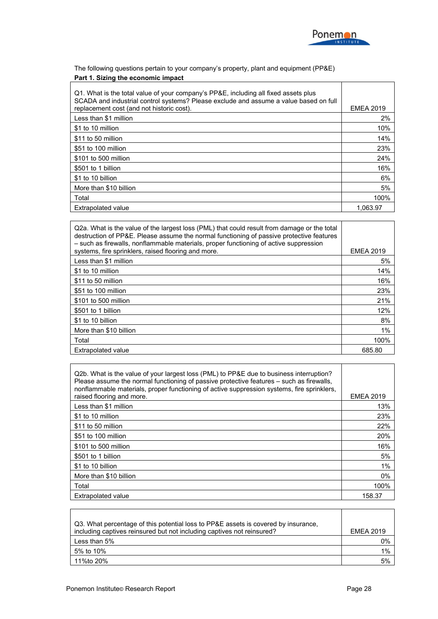

The following questions pertain to your company's property, plant and equipment (PP&E) **Part 1. Sizing the economic impact**

| Q1. What is the total value of your company's PP&E, including all fixed assets plus<br>SCADA and industrial control systems? Please exclude and assume a value based on full<br>replacement cost (and not historic cost). | <b>EMEA 2019</b> |
|---------------------------------------------------------------------------------------------------------------------------------------------------------------------------------------------------------------------------|------------------|
| Less than \$1 million                                                                                                                                                                                                     | 2%               |
| \$1 to 10 million                                                                                                                                                                                                         | 10%              |
| \$11 to 50 million                                                                                                                                                                                                        | 14%              |
| \$51 to 100 million                                                                                                                                                                                                       | 23%              |
| \$101 to 500 million                                                                                                                                                                                                      | 24%              |
| \$501 to 1 billion                                                                                                                                                                                                        | 16%              |
| \$1 to 10 billion                                                                                                                                                                                                         | 6%               |
| More than \$10 billion                                                                                                                                                                                                    | 5%               |
| Total                                                                                                                                                                                                                     | 100%             |
| <b>Extrapolated value</b>                                                                                                                                                                                                 | 1.063.97         |

| Q2a. What is the value of the largest loss (PML) that could result from damage or the total<br>destruction of PP&E. Please assume the normal functioning of passive protective features<br>- such as firewalls, nonflammable materials, proper functioning of active suppression |                  |
|----------------------------------------------------------------------------------------------------------------------------------------------------------------------------------------------------------------------------------------------------------------------------------|------------------|
| systems, fire sprinklers, raised flooring and more.                                                                                                                                                                                                                              | <b>EMEA 2019</b> |
| Less than \$1 million                                                                                                                                                                                                                                                            | 5%               |
| \$1 to 10 million                                                                                                                                                                                                                                                                | 14%              |
| \$11 to 50 million                                                                                                                                                                                                                                                               | 16%              |
| \$51 to 100 million                                                                                                                                                                                                                                                              | 23%              |
| \$101 to 500 million                                                                                                                                                                                                                                                             | 21%              |
| \$501 to 1 billion                                                                                                                                                                                                                                                               | 12%              |
| \$1 to 10 billion                                                                                                                                                                                                                                                                | 8%               |
| More than \$10 billion                                                                                                                                                                                                                                                           | 1%               |
| Total                                                                                                                                                                                                                                                                            | 100%             |
| <b>Extrapolated value</b>                                                                                                                                                                                                                                                        | 685.80           |

| Q2b. What is the value of your largest loss (PML) to PP&E due to business interruption?<br>Please assume the normal functioning of passive protective features – such as firewalls,<br>nonflammable materials, proper functioning of active suppression systems, fire sprinklers, |                  |
|-----------------------------------------------------------------------------------------------------------------------------------------------------------------------------------------------------------------------------------------------------------------------------------|------------------|
| raised flooring and more.                                                                                                                                                                                                                                                         | <b>EMEA 2019</b> |
| Less than \$1 million                                                                                                                                                                                                                                                             | 13%              |
| \$1 to 10 million                                                                                                                                                                                                                                                                 | 23%              |
| \$11 to 50 million                                                                                                                                                                                                                                                                | 22%              |
| \$51 to 100 million                                                                                                                                                                                                                                                               | 20%              |
| \$101 to 500 million                                                                                                                                                                                                                                                              | 16%              |
| \$501 to 1 billion                                                                                                                                                                                                                                                                | 5%               |
| \$1 to 10 billion                                                                                                                                                                                                                                                                 | 1%               |
| More than \$10 billion                                                                                                                                                                                                                                                            | 0%               |
| Total                                                                                                                                                                                                                                                                             | 100%             |
| Extrapolated value                                                                                                                                                                                                                                                                | 158.37           |

| Q3. What percentage of this potential loss to PP&E assets is covered by insurance,<br>including captives reinsured but not including captives not reinsured? | <b>EMEA 2019</b> |
|--------------------------------------------------------------------------------------------------------------------------------------------------------------|------------------|
| Less than 5%                                                                                                                                                 | 0%               |
| 5% to 10%                                                                                                                                                    | 1%               |
| 11%to 20%                                                                                                                                                    | 5%               |

 $\mathbf{r}$ 

 $\Gamma$ 

T

٦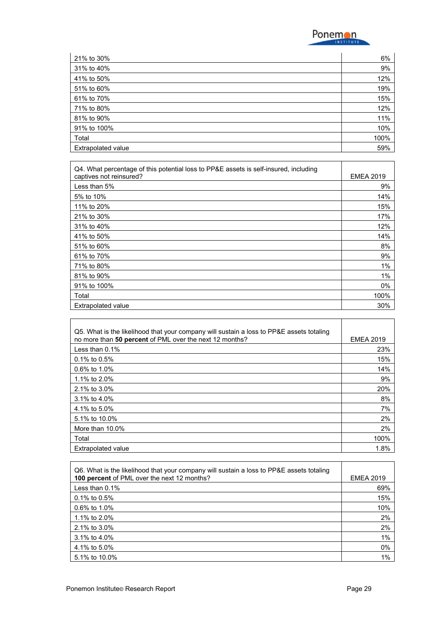

| 21% to 30%                | 6%   |
|---------------------------|------|
| 31% to 40%                | 9%   |
| 41% to 50%                | 12%  |
| 51% to 60%                | 19%  |
| 61% to 70%                | 15%  |
| 71% to 80%                | 12%  |
| 81% to 90%                | 11%  |
| 91% to 100%               | 10%  |
| Total                     | 100% |
| <b>Extrapolated value</b> | 59%  |

| Q4. What percentage of this potential loss to PP&E assets is self-insured, including |                  |
|--------------------------------------------------------------------------------------|------------------|
| captives not reinsured?                                                              | <b>EMEA 2019</b> |
| Less than 5%                                                                         | 9%               |
| 5% to 10%                                                                            | 14%              |
| 11% to 20%                                                                           | 15%              |
| 21% to 30%                                                                           | 17%              |
| 31% to 40%                                                                           | 12%              |
| 41% to 50%                                                                           | 14%              |
| 51% to 60%                                                                           | 8%               |
| 61% to 70%                                                                           | 9%               |
| 71% to 80%                                                                           | 1%               |
| 81% to 90%                                                                           | 1%               |
| 91% to 100%                                                                          | 0%               |
| Total                                                                                | 100%             |
| <b>Extrapolated value</b>                                                            | 30%              |

| Q5. What is the likelihood that your company will sustain a loss to PP&E assets totaling |                  |
|------------------------------------------------------------------------------------------|------------------|
| no more than 50 percent of PML over the next 12 months?                                  | <b>EMEA 2019</b> |
| Less than $0.1\%$                                                                        | 23%              |
| $0.1\%$ to $0.5\%$                                                                       | 15%              |
| $0.6\%$ to 1.0%                                                                          | 14%              |
| 1.1% to 2.0%                                                                             | 9%               |
| 2.1% to 3.0%                                                                             | 20%              |
| 3.1% to 4.0%                                                                             | 8%               |
| 4.1% to 5.0%                                                                             | 7%               |
| 5.1% to 10.0%                                                                            | 2%               |
| More than 10.0%                                                                          | 2%               |
| Total                                                                                    | 100%             |
| <b>Extrapolated value</b>                                                                | 1.8%             |

| Q6. What is the likelihood that your company will sustain a loss to PP&E assets totaling<br>100 percent of PML over the next 12 months? | <b>EMEA 2019</b> |
|-----------------------------------------------------------------------------------------------------------------------------------------|------------------|
| Less than $0.1\%$                                                                                                                       | 69%              |
| $0.1\%$ to $0.5\%$                                                                                                                      | 15%              |
| $0.6\%$ to 1.0%                                                                                                                         | 10%              |
| 1.1% to 2.0%                                                                                                                            | 2%               |
| 2.1% to 3.0%                                                                                                                            | 2%               |
| 3.1% to 4.0%                                                                                                                            | 1%               |
| 4.1% to 5.0%                                                                                                                            | 0%               |
| 5.1% to 10.0%                                                                                                                           | 1%               |

 $\Gamma$ 

٦

┯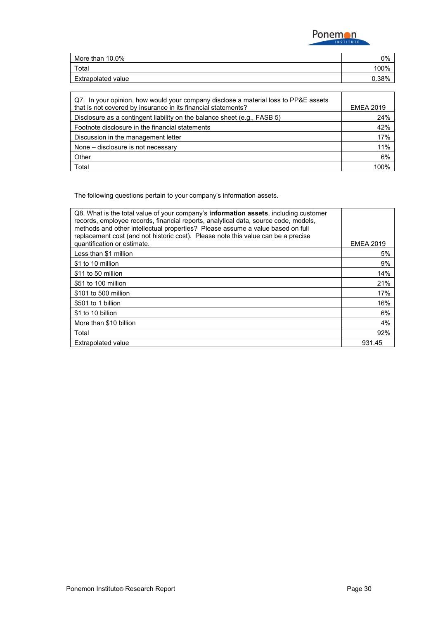

| More than 10.0%    | 0%    |
|--------------------|-------|
| Total              | 100%  |
| Extrapolated value | 0.38% |

| Q7. In your opinion, how would your company disclose a material loss to PP&E assets<br>that is not covered by insurance in its financial statements? | <b>EMEA 2019</b> |
|------------------------------------------------------------------------------------------------------------------------------------------------------|------------------|
| Disclosure as a contingent liability on the balance sheet (e.g., FASB 5)                                                                             | 24%              |
| Footnote disclosure in the financial statements                                                                                                      | 42%              |
| Discussion in the management letter                                                                                                                  | 17%              |
| None – disclosure is not necessary                                                                                                                   | 11%              |
| Other                                                                                                                                                | 6%               |
| Total                                                                                                                                                | 100%             |

The following questions pertain to your company's information assets.

| Q8. What is the total value of your company's <b>information assets</b> , including customer<br>records, employee records, financial reports, analytical data, source code, models,<br>methods and other intellectual properties? Please assume a value based on full<br>replacement cost (and not historic cost). Please note this value can be a precise |                  |
|------------------------------------------------------------------------------------------------------------------------------------------------------------------------------------------------------------------------------------------------------------------------------------------------------------------------------------------------------------|------------------|
| quantification or estimate.                                                                                                                                                                                                                                                                                                                                | <b>EMEA 2019</b> |
| Less than \$1 million                                                                                                                                                                                                                                                                                                                                      | 5%               |
| \$1 to 10 million                                                                                                                                                                                                                                                                                                                                          | 9%               |
| \$11 to 50 million                                                                                                                                                                                                                                                                                                                                         | 14%              |
| \$51 to 100 million                                                                                                                                                                                                                                                                                                                                        | 21%              |
| \$101 to 500 million                                                                                                                                                                                                                                                                                                                                       | 17%              |
| \$501 to 1 billion                                                                                                                                                                                                                                                                                                                                         | 16%              |
| \$1 to 10 billion                                                                                                                                                                                                                                                                                                                                          | 6%               |
| More than \$10 billion                                                                                                                                                                                                                                                                                                                                     | 4%               |
| Total                                                                                                                                                                                                                                                                                                                                                      | 92%              |
| <b>Extrapolated value</b>                                                                                                                                                                                                                                                                                                                                  | 931.45           |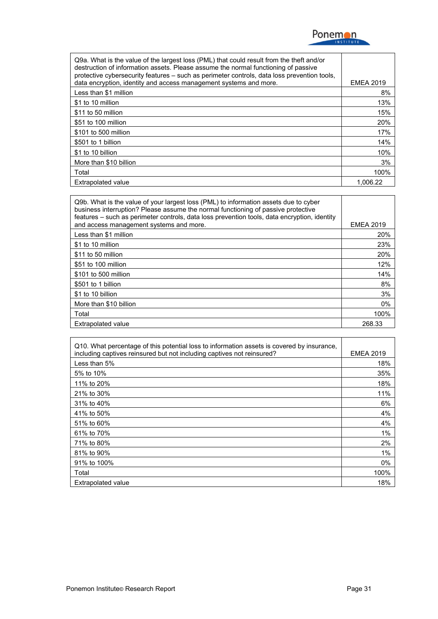

| Q9a. What is the value of the largest loss (PML) that could result from the theft and/or<br>destruction of information assets. Please assume the normal functioning of passive<br>protective cybersecurity features - such as perimeter controls, data loss prevention tools, |                  |
|-------------------------------------------------------------------------------------------------------------------------------------------------------------------------------------------------------------------------------------------------------------------------------|------------------|
| data encryption, identity and access management systems and more.                                                                                                                                                                                                             | <b>EMEA 2019</b> |
| Less than \$1 million                                                                                                                                                                                                                                                         | 8%               |
| \$1 to 10 million                                                                                                                                                                                                                                                             | 13%              |
| \$11 to 50 million                                                                                                                                                                                                                                                            | 15%              |
| \$51 to 100 million                                                                                                                                                                                                                                                           | 20%              |
| \$101 to 500 million                                                                                                                                                                                                                                                          | 17%              |
| \$501 to 1 billion                                                                                                                                                                                                                                                            | 14%              |
| \$1 to 10 billion                                                                                                                                                                                                                                                             | 10%              |
| More than \$10 billion                                                                                                                                                                                                                                                        | 3%               |
| Total                                                                                                                                                                                                                                                                         | 100%             |
| <b>Extrapolated value</b>                                                                                                                                                                                                                                                     | 1.006.22         |

| Q9b. What is the value of your largest loss (PML) to information assets due to cyber<br>business interruption? Please assume the normal functioning of passive protective<br>features - such as perimeter controls, data loss prevention tools, data encryption, identity |                  |
|---------------------------------------------------------------------------------------------------------------------------------------------------------------------------------------------------------------------------------------------------------------------------|------------------|
| and access management systems and more.                                                                                                                                                                                                                                   | <b>EMEA 2019</b> |
| Less than \$1 million                                                                                                                                                                                                                                                     | 20%              |
| \$1 to 10 million                                                                                                                                                                                                                                                         | 23%              |
| \$11 to 50 million                                                                                                                                                                                                                                                        | 20%              |
| \$51 to 100 million                                                                                                                                                                                                                                                       | 12%              |
| \$101 to 500 million                                                                                                                                                                                                                                                      | 14%              |
| \$501 to 1 billion                                                                                                                                                                                                                                                        | 8%               |
| \$1 to 10 billion                                                                                                                                                                                                                                                         | 3%               |
| More than \$10 billion                                                                                                                                                                                                                                                    | $0\%$            |
| Total                                                                                                                                                                                                                                                                     | 100%             |
| <b>Extrapolated value</b>                                                                                                                                                                                                                                                 | 268.33           |

| Q10. What percentage of this potential loss to information assets is covered by insurance, |                  |
|--------------------------------------------------------------------------------------------|------------------|
| including captives reinsured but not including captives not reinsured?                     | <b>EMEA 2019</b> |
| Less than $5%$                                                                             | 18%              |
| 5% to 10%                                                                                  | 35%              |
| 11% to 20%                                                                                 | 18%              |
| 21% to 30%                                                                                 | 11%              |
| 31% to 40%                                                                                 | 6%               |
| 41% to 50%                                                                                 | 4%               |
| 51% to 60%                                                                                 | 4%               |
| 61% to 70%                                                                                 | 1%               |
| 71% to 80%                                                                                 | 2%               |
| 81% to 90%                                                                                 | 1%               |
| 91% to 100%                                                                                | 0%               |
| Total                                                                                      | 100%             |
| Extrapolated value                                                                         | 18%              |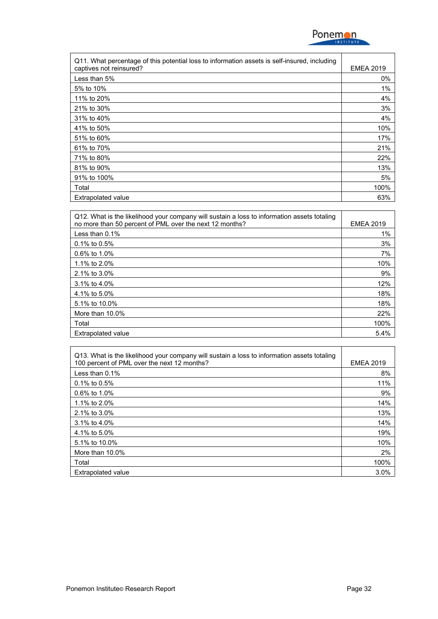

| Q11. What percentage of this potential loss to information assets is self-insured, including |                  |
|----------------------------------------------------------------------------------------------|------------------|
| captives not reinsured?                                                                      | <b>EMEA 2019</b> |
| Less than 5%                                                                                 | $0\%$            |
| 5% to 10%                                                                                    | 1%               |
| 11% to 20%                                                                                   | 4%               |
| 21% to 30%                                                                                   | 3%               |
| 31% to 40%                                                                                   | 4%               |
| 41% to 50%                                                                                   | 10%              |
| 51% to 60%                                                                                   | 17%              |
| 61% to 70%                                                                                   | 21%              |
| 71% to 80%                                                                                   | 22%              |
| 81% to 90%                                                                                   | 13%              |
| 91% to 100%                                                                                  | 5%               |
| Total                                                                                        | 100%             |
| <b>Extrapolated value</b>                                                                    | 63%              |

| Q12. What is the likelihood your company will sustain a loss to information assets totaling<br>no more than 50 percent of PML over the next 12 months? | <b>EMEA 2019</b> |
|--------------------------------------------------------------------------------------------------------------------------------------------------------|------------------|
| Less than $0.1\%$                                                                                                                                      | $1\%$            |
| $0.1\%$ to $0.5\%$                                                                                                                                     | 3%               |
| $0.6\%$ to 1.0%                                                                                                                                        | 7%               |
| 1.1% to 2.0%                                                                                                                                           | 10%              |
| 2.1% to 3.0%                                                                                                                                           | 9%               |
| $3.1\%$ to 4.0%                                                                                                                                        | 12%              |
| 4.1% to 5.0%                                                                                                                                           | 18%              |
| 5.1% to 10.0%                                                                                                                                          | 18%              |
| More than 10.0%                                                                                                                                        | 22%              |
| Total                                                                                                                                                  | 100%             |
| <b>Extrapolated value</b>                                                                                                                              | 5.4%             |

| Q13. What is the likelihood your company will sustain a loss to information assets totaling |                  |
|---------------------------------------------------------------------------------------------|------------------|
| 100 percent of PML over the next 12 months?                                                 | <b>EMEA 2019</b> |
| Less than $0.1\%$                                                                           | 8%               |
| 0.1% to 0.5%                                                                                | 11%              |
| $0.6\%$ to 1.0%                                                                             | 9%               |
| 1.1% to 2.0%                                                                                | 14%              |
| 2.1% to 3.0%                                                                                | 13%              |
| $3.1\%$ to 4.0%                                                                             | 14%              |
| 4.1% to 5.0%                                                                                | 19%              |
| 5.1% to 10.0%                                                                               | 10%              |
| More than 10.0%                                                                             | 2%               |
| Total                                                                                       | 100%             |
| <b>Extrapolated value</b>                                                                   | 3.0%             |

 $\mathbf{r}$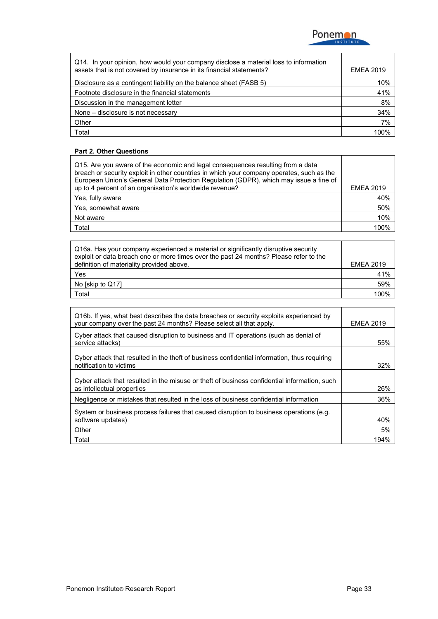

| Q14. In your opinion, how would your company disclose a material loss to information<br>assets that is not covered by insurance in its financial statements? | <b>EMEA 2019</b> |
|--------------------------------------------------------------------------------------------------------------------------------------------------------------|------------------|
| Disclosure as a contingent liability on the balance sheet (FASB 5)                                                                                           | 10%              |
| Footnote disclosure in the financial statements                                                                                                              | 41%              |
| Discussion in the management letter                                                                                                                          | 8%               |
| None - disclosure is not necessary                                                                                                                           | 34%              |
| Other                                                                                                                                                        | 7%               |
| Total                                                                                                                                                        | 100%             |

## **Part 2. Other Questions**

| Q15. Are you aware of the economic and legal consequences resulting from a data<br>breach or security exploit in other countries in which your company operates, such as the<br>European Union's General Data Protection Regulation (GDPR), which may issue a fine of |                  |
|-----------------------------------------------------------------------------------------------------------------------------------------------------------------------------------------------------------------------------------------------------------------------|------------------|
| up to 4 percent of an organisation's worldwide revenue?                                                                                                                                                                                                               | <b>EMEA 2019</b> |
| Yes, fully aware                                                                                                                                                                                                                                                      | 40%              |
| Yes, somewhat aware                                                                                                                                                                                                                                                   | 50%              |
| Not aware                                                                                                                                                                                                                                                             | 10%              |
| Total                                                                                                                                                                                                                                                                 | 100%             |

| Q16a. Has your company experienced a material or significantly disruptive security<br>exploit or data breach one or more times over the past 24 months? Please refer to the |                  |
|-----------------------------------------------------------------------------------------------------------------------------------------------------------------------------|------------------|
| definition of materiality provided above.                                                                                                                                   | <b>EMEA 2019</b> |
| Yes                                                                                                                                                                         | 41%              |
| No [skip to Q17]                                                                                                                                                            | 59%              |
| Total                                                                                                                                                                       | 100%             |

| Q16b. If yes, what best describes the data breaches or security exploits experienced by<br>your company over the past 24 months? Please select all that apply. | <b>EMEA 2019</b> |
|----------------------------------------------------------------------------------------------------------------------------------------------------------------|------------------|
| Cyber attack that caused disruption to business and IT operations (such as denial of<br>service attacks)                                                       | 55%              |
| Cyber attack that resulted in the theft of business confidential information, thus requiring<br>notification to victims                                        | 32%              |
| Cyber attack that resulted in the misuse or theft of business confidential information, such<br>as intellectual properties                                     | 26%              |
| Negligence or mistakes that resulted in the loss of business confidential information                                                                          | 36%              |
| System or business process failures that caused disruption to business operations (e.g.<br>software updates)                                                   | 40%              |
| Other                                                                                                                                                          | 5%               |
| Total                                                                                                                                                          | 194%             |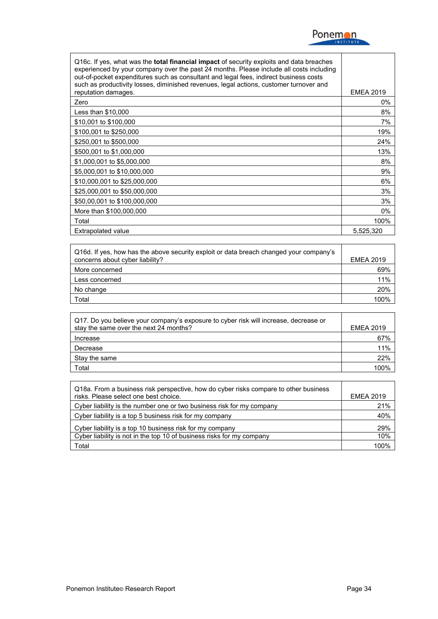

| Q16c. If yes, what was the <b>total financial impact</b> of security exploits and data breaches<br>experienced by your company over the past 24 months. Please include all costs including<br>out-of-pocket expenditures such as consultant and legal fees, indirect business costs<br>such as productivity losses, diminished revenues, legal actions, customer turnover and |                  |
|-------------------------------------------------------------------------------------------------------------------------------------------------------------------------------------------------------------------------------------------------------------------------------------------------------------------------------------------------------------------------------|------------------|
| reputation damages.                                                                                                                                                                                                                                                                                                                                                           | <b>EMEA 2019</b> |
| Zero                                                                                                                                                                                                                                                                                                                                                                          | 0%               |
| Less than $$10,000$                                                                                                                                                                                                                                                                                                                                                           | 8%               |
| \$10,001 to \$100,000                                                                                                                                                                                                                                                                                                                                                         | 7%               |
| \$100,001 to \$250,000                                                                                                                                                                                                                                                                                                                                                        | 19%              |
| \$250,001 to \$500,000                                                                                                                                                                                                                                                                                                                                                        | 24%              |
| \$500,001 to \$1,000,000                                                                                                                                                                                                                                                                                                                                                      | 13%              |
| \$1,000,001 to \$5,000,000                                                                                                                                                                                                                                                                                                                                                    | 8%               |
| \$5,000,001 to \$10,000,000                                                                                                                                                                                                                                                                                                                                                   | 9%               |
| \$10,000,001 to \$25,000,000                                                                                                                                                                                                                                                                                                                                                  | 6%               |
| \$25,000,001 to \$50,000,000                                                                                                                                                                                                                                                                                                                                                  | 3%               |
| \$50,00,001 to \$100,000,000                                                                                                                                                                                                                                                                                                                                                  | 3%               |
| More than \$100,000,000                                                                                                                                                                                                                                                                                                                                                       | 0%               |
| Total                                                                                                                                                                                                                                                                                                                                                                         | 100%             |
| Extrapolated value                                                                                                                                                                                                                                                                                                                                                            | 5,525,320        |

| Q16d. If yes, how has the above security exploit or data breach changed your company's<br>concerns about cyber liability? | <b>EMEA 2019</b> |
|---------------------------------------------------------------------------------------------------------------------------|------------------|
| More concerned                                                                                                            | 69%              |
| Less concerned                                                                                                            | 11%              |
| No change                                                                                                                 | 20%              |
| Total                                                                                                                     | 100%             |

| Q17. Do you believe your company's exposure to cyber risk will increase, decrease or<br>stay the same over the next 24 months? | <b>EMEA 2019</b> |
|--------------------------------------------------------------------------------------------------------------------------------|------------------|
| Increase                                                                                                                       | 67%              |
| Decrease                                                                                                                       | 11%              |
| Stay the same                                                                                                                  | 22%              |
| Total                                                                                                                          | 100%             |

| Q18a. From a business risk perspective, how do cyber risks compare to other business<br>risks. Please select one best choice. | <b>EMEA 2019</b> |
|-------------------------------------------------------------------------------------------------------------------------------|------------------|
| Cyber liability is the number one or two business risk for my company                                                         | 21%              |
| Cyber liability is a top 5 business risk for my company                                                                       | 40%              |
| Cyber liability is a top 10 business risk for my company                                                                      | 29%              |
| Cyber liability is not in the top 10 of business risks for my company                                                         | 10%              |
| Total                                                                                                                         | 100%             |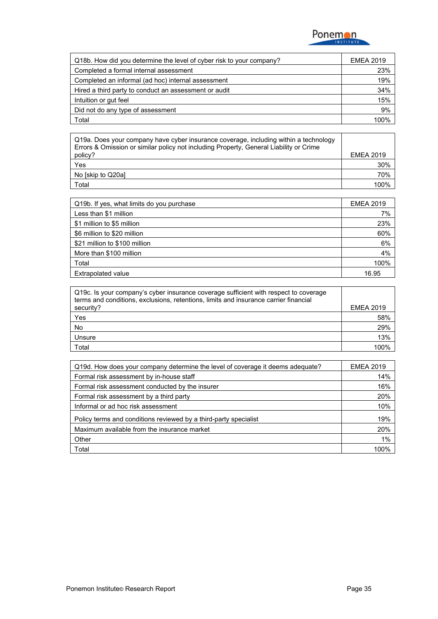

| Q18b. How did you determine the level of cyber risk to your company? | <b>EMEA 2019</b> |
|----------------------------------------------------------------------|------------------|
| Completed a formal internal assessment                               | 23%              |
| Completed an informal (ad hoc) internal assessment                   | 19%              |
| Hired a third party to conduct an assessment or audit                | 34%              |
| Intuition or gut feel                                                | 15%              |
| Did not do any type of assessment                                    | 9%               |
| Total                                                                | 100%             |

| Q19a. Does your company have cyber insurance coverage, including within a technology<br>Errors & Omission or similar policy not including Property, General Liability or Crime |                  |
|--------------------------------------------------------------------------------------------------------------------------------------------------------------------------------|------------------|
| policy?                                                                                                                                                                        | <b>EMEA 2019</b> |
| Yes                                                                                                                                                                            | 30%              |
| No [skip to Q20a]                                                                                                                                                              | 70%              |
| Total                                                                                                                                                                          | 1በበ%             |

| Q19b. If yes, what limits do you purchase | <b>EMEA 2019</b> |
|-------------------------------------------|------------------|
| Less than \$1 million                     | 7%               |
| \$1 million to \$5 million                | 23%              |
| \$6 million to \$20 million               | 60%              |
| \$21 million to \$100 million             | 6%               |
| More than \$100 million                   | 4%               |
| Total                                     | 100%             |
| <b>Extrapolated value</b>                 | 16.95            |

| Q19c. Is your company's cyber insurance coverage sufficient with respect to coverage<br>terms and conditions, exclusions, retentions, limits and insurance carrier financial |                  |
|------------------------------------------------------------------------------------------------------------------------------------------------------------------------------|------------------|
| security?                                                                                                                                                                    | <b>EMEA 2019</b> |
| Yes                                                                                                                                                                          | 58%              |
| No                                                                                                                                                                           | 29%              |
| Unsure                                                                                                                                                                       | 13%              |
| Гоtal                                                                                                                                                                        | 1 በበ%            |

| Q19d. How does your company determine the level of coverage it deems adequate? | <b>EMEA 2019</b> |
|--------------------------------------------------------------------------------|------------------|
| Formal risk assessment by in-house staff                                       | 14%              |
| Formal risk assessment conducted by the insurer                                | 16%              |
| Formal risk assessment by a third party                                        | 20%              |
| Informal or ad hoc risk assessment                                             | 10%              |
| Policy terms and conditions reviewed by a third-party specialist               | 19%              |
| Maximum available from the insurance market                                    | 20%              |
| Other                                                                          | 1%               |
| Total                                                                          | 100%             |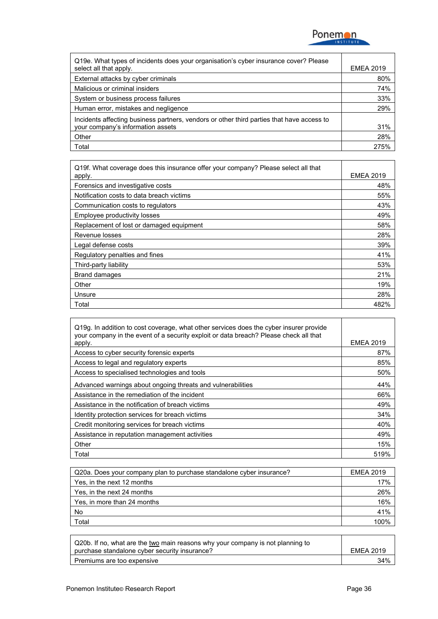

| Q19e. What types of incidents does your organisation's cyber insurance cover? Please<br>select all that apply. | <b>EMEA 2019</b> |
|----------------------------------------------------------------------------------------------------------------|------------------|
| External attacks by cyber criminals                                                                            | 80%              |
| Malicious or criminal insiders                                                                                 | 74%              |
| System or business process failures                                                                            | 33%              |
| Human error, mistakes and negligence                                                                           | 29%              |
| Incidents affecting business partners, vendors or other third parties that have access to                      |                  |
| your company's information assets                                                                              | 31%              |
| Other                                                                                                          | 28%              |
| Total                                                                                                          | 275%             |

| Q19f. What coverage does this insurance offer your company? Please select all that |                  |
|------------------------------------------------------------------------------------|------------------|
| apply.                                                                             | <b>EMEA 2019</b> |
| Forensics and investigative costs                                                  | 48%              |
| Notification costs to data breach victims                                          | 55%              |
| Communication costs to regulators                                                  | 43%              |
| Employee productivity losses                                                       | 49%              |
| Replacement of lost or damaged equipment                                           | 58%              |
| Revenue losses                                                                     | 28%              |
| Legal defense costs                                                                | 39%              |
| Regulatory penalties and fines                                                     | 41%              |
| Third-party liability                                                              | 53%              |
| <b>Brand damages</b>                                                               | 21%              |
| Other                                                                              | 19%              |
| Unsure                                                                             | 28%              |
| Total                                                                              | 482%             |

| Q19g. In addition to cost coverage, what other services does the cyber insurer provide<br>your company in the event of a security exploit or data breach? Please check all that |                  |
|---------------------------------------------------------------------------------------------------------------------------------------------------------------------------------|------------------|
| apply.                                                                                                                                                                          | <b>EMEA 2019</b> |
| Access to cyber security forensic experts                                                                                                                                       | 87%              |
| Access to legal and regulatory experts                                                                                                                                          | 85%              |
| Access to specialised technologies and tools                                                                                                                                    | 50%              |
| Advanced warnings about ongoing threats and vulnerabilities                                                                                                                     | 44%              |
| Assistance in the remediation of the incident                                                                                                                                   | 66%              |
| Assistance in the notification of breach victims                                                                                                                                | 49%              |
| Identity protection services for breach victims                                                                                                                                 | 34%              |
| Credit monitoring services for breach victims                                                                                                                                   | 40%              |
| Assistance in reputation management activities                                                                                                                                  | 49%              |
| Other                                                                                                                                                                           | 15%              |
| Total                                                                                                                                                                           | 519%             |

| Q20a. Does your company plan to purchase standalone cyber insurance? | <b>EMEA 2019</b> |
|----------------------------------------------------------------------|------------------|
| Yes, in the next 12 months                                           | 17%              |
| Yes, in the next 24 months                                           | 26%              |
| Yes, in more than 24 months                                          | 16%              |
| No                                                                   | 41%              |
| Total                                                                | ነበበ%             |

| Q20b. If no, what are the two main reasons why your company is not planning to |                  |
|--------------------------------------------------------------------------------|------------------|
| purchase standalone cyber security insurance?                                  | <b>EMEA 2019</b> |
| Premiums are too expensive                                                     | 34%              |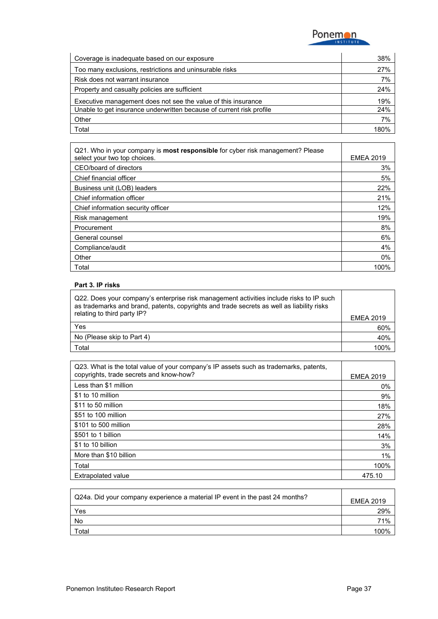

| Coverage is inadequate based on our exposure                         | 38%  |
|----------------------------------------------------------------------|------|
| Too many exclusions, restrictions and uninsurable risks              | 27%  |
| Risk does not warrant insurance                                      | 7%   |
| Property and casualty policies are sufficient                        | 24%  |
| Executive management does not see the value of this insurance        | 19%  |
| Unable to get insurance underwritten because of current risk profile | 24%  |
| Other                                                                | 7%   |
| Total                                                                | 180% |

| Q21. Who in your company is <b>most responsible</b> for cyber risk management? Please |                  |
|---------------------------------------------------------------------------------------|------------------|
| select your two top choices.                                                          | <b>EMEA 2019</b> |
| CEO/board of directors                                                                | 3%               |
| Chief financial officer                                                               | 5%               |
| Business unit (LOB) leaders                                                           | 22%              |
| Chief information officer                                                             | 21%              |
| Chief information security officer                                                    | 12%              |
| Risk management                                                                       | 19%              |
| Procurement                                                                           | 8%               |
| General counsel                                                                       | 6%               |
| Compliance/audit                                                                      | 4%               |
| Other                                                                                 | $0\%$            |
| Total                                                                                 | 100%             |

#### **Part 3. IP risks**

| Q22. Does your company's enterprise risk management activities include risks to IP such<br>as trademarks and brand, patents, copyrights and trade secrets as well as liability risks |                  |
|--------------------------------------------------------------------------------------------------------------------------------------------------------------------------------------|------------------|
| relating to third party IP?                                                                                                                                                          | <b>EMEA 2019</b> |
| Yes                                                                                                                                                                                  | 60%              |
| No (Please skip to Part 4)                                                                                                                                                           | 40%              |
| Total                                                                                                                                                                                | 100%             |

| Q23. What is the total value of your company's IP assets such as trademarks, patents, |                  |
|---------------------------------------------------------------------------------------|------------------|
| copyrights, trade secrets and know-how?                                               | <b>EMEA 2019</b> |
| Less than \$1 million                                                                 | $0\%$            |
| \$1 to 10 million                                                                     | 9%               |
| \$11 to 50 million                                                                    | 18%              |
| \$51 to 100 million                                                                   | 27%              |
| \$101 to 500 million                                                                  | 28%              |
| \$501 to 1 billion                                                                    | 14%              |
| \$1 to 10 billion                                                                     | 3%               |
| More than \$10 billion                                                                | 1%               |
| Total                                                                                 | 100%             |
| <b>Extrapolated value</b>                                                             | 475.10           |

| Q24a. Did your company experience a material IP event in the past 24 months? | <b>EMEA 2019</b> |
|------------------------------------------------------------------------------|------------------|
| Yes                                                                          | 29%              |
| No                                                                           | 71%              |
| Total                                                                        | ነበበ%             |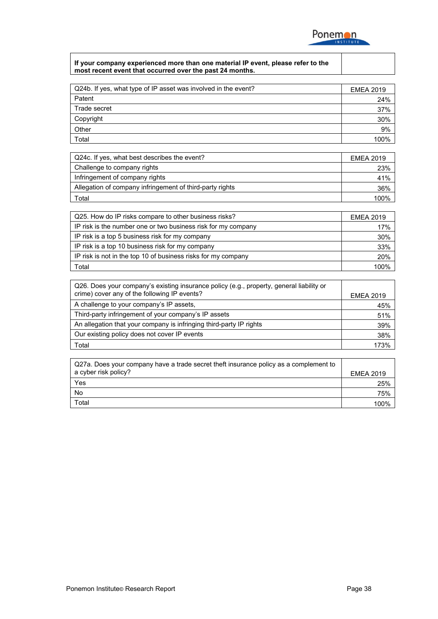

#### **If your company experienced more than one material IP event, please refer to the most recent event that occurred over the past 24 months.**

| Q24b. If yes, what type of IP asset was involved in the event? | <b>EMEA 2019</b> |
|----------------------------------------------------------------|------------------|
| Patent                                                         | 24%              |
| Trade secret                                                   | 37%              |
| Copyright                                                      | 30%              |
| Other                                                          | 9%               |
| Total                                                          | 100%             |

| Q24c. If yes, what best describes the event?             | <b>EMEA 2019</b> |
|----------------------------------------------------------|------------------|
| Challenge to company rights                              | 23%              |
| Infringement of company rights                           | 41%              |
| Allegation of company infringement of third-party rights | 36%              |
| Total                                                    | በበ%              |

| Q25. How do IP risks compare to other business risks?         | <b>EMEA 2019</b> |
|---------------------------------------------------------------|------------------|
| IP risk is the number one or two business risk for my company | 17%              |
| IP risk is a top 5 business risk for my company               | 30%              |
| IP risk is a top 10 business risk for my company              | 33%              |
| IP risk is not in the top 10 of business risks for my company | 20%              |
| Total                                                         | 100%             |

| Q26. Does your company's existing insurance policy (e.g., property, general liability or<br>crime) cover any of the following IP events? | <b>EMEA 2019</b> |
|------------------------------------------------------------------------------------------------------------------------------------------|------------------|
| A challenge to your company's IP assets,                                                                                                 | 45%              |
| Third-party infringement of your company's IP assets                                                                                     | 51%              |
| An allegation that your company is infringing third-party IP rights                                                                      | 39%              |
| Our existing policy does not cover IP events                                                                                             | 38%              |
| Total                                                                                                                                    | 173%             |

| Q27a. Does your company have a trade secret theft insurance policy as a complement to<br>a cyber risk policy? | <b>EMEA 2019</b> |
|---------------------------------------------------------------------------------------------------------------|------------------|
| Yes                                                                                                           | 25%              |
| No                                                                                                            | 75%              |
| $\tau$ otal                                                                                                   |                  |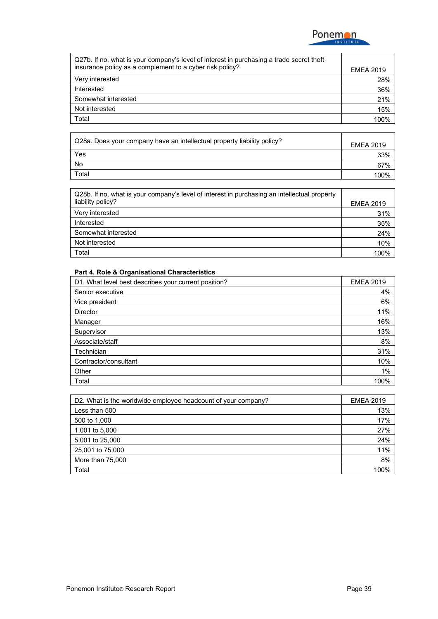

| Q27b. If no, what is your company's level of interest in purchasing a trade secret theft<br>insurance policy as a complement to a cyber risk policy? | <b>EMEA 2019</b> |
|------------------------------------------------------------------------------------------------------------------------------------------------------|------------------|
| Very interested                                                                                                                                      | 28%              |
| Interested                                                                                                                                           | 36%              |
| Somewhat interested                                                                                                                                  | 21%              |
| Not interested                                                                                                                                       | 15%              |
| Total                                                                                                                                                | 100%             |

| Q28a. Does your company have an intellectual property liability policy? | <b>EMEA 2019</b> |
|-------------------------------------------------------------------------|------------------|
| Yes                                                                     | 33%              |
| No                                                                      | 67%              |
| Total                                                                   | ' በበ%            |

| Q28b. If no, what is your company's level of interest in purchasing an intellectual property<br>liability policy? | <b>EMEA 2019</b> |
|-------------------------------------------------------------------------------------------------------------------|------------------|
| Very interested                                                                                                   | 31%              |
| Interested                                                                                                        | 35%              |
| Somewhat interested                                                                                               | 24%              |
| Not interested                                                                                                    | 10%              |
| Total                                                                                                             | 100%             |

#### **Part 4. Role & Organisational Characteristics**

| D1. What level best describes your current position? | <b>EMEA 2019</b> |
|------------------------------------------------------|------------------|
| Senior executive                                     | 4%               |
| Vice president                                       | 6%               |
| <b>Director</b>                                      | 11%              |
| Manager                                              | 16%              |
| Supervisor                                           | 13%              |
| Associate/staff                                      | 8%               |
| Technician                                           | 31%              |
| Contractor/consultant                                | 10%              |
| Other                                                | 1%               |
| Total                                                | 100%             |

| D2. What is the worldwide employee headcount of your company? | <b>EMEA 2019</b> |
|---------------------------------------------------------------|------------------|
| Less than 500                                                 | 13%              |
| 500 to 1,000                                                  | 17%              |
| 1,001 to 5,000                                                | 27%              |
| 5,001 to 25,000                                               | 24%              |
| 25,001 to 75,000                                              | 11%              |
| More than 75,000                                              | 8%               |
| Total                                                         | 100%             |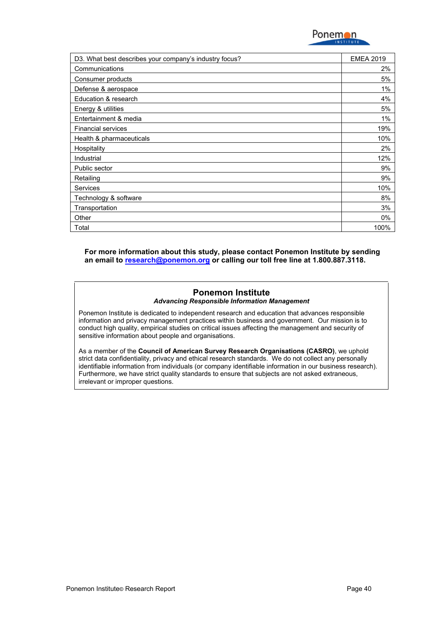

| D3. What best describes your company's industry focus? | <b>EMEA 2019</b> |
|--------------------------------------------------------|------------------|
| Communications                                         | 2%               |
| Consumer products                                      | 5%               |
| Defense & aerospace                                    | 1%               |
| Education & research                                   | 4%               |
| Energy & utilities                                     | 5%               |
| Entertainment & media                                  | 1%               |
| <b>Financial services</b>                              | 19%              |
| Health & pharmaceuticals                               | 10%              |
| Hospitality                                            | 2%               |
| Industrial                                             | 12%              |
| Public sector                                          | 9%               |
| Retailing                                              | 9%               |
| <b>Services</b>                                        | 10%              |
| Technology & software                                  | 8%               |
| Transportation                                         | 3%               |
| Other                                                  | $0\%$            |
| Total                                                  | 100%             |

**For more information about this study, please contact Ponemon Institute by sending an email to [research@ponemon.org](mailto:research@ponemon.org) or calling our toll free line at 1.800.887.3118.**

#### **Ponemon Institute** *Advancing Responsible Information Management*

Ponemon Institute is dedicated to independent research and education that advances responsible information and privacy management practices within business and government. Our mission is to conduct high quality, empirical studies on critical issues affecting the management and security of sensitive information about people and organisations.

As a member of the **Council of American Survey Research Organisations (CASRO)**, we uphold strict data confidentiality, privacy and ethical research standards. We do not collect any personally identifiable information from individuals (or company identifiable information in our business research). Furthermore, we have strict quality standards to ensure that subjects are not asked extraneous, irrelevant or improper questions.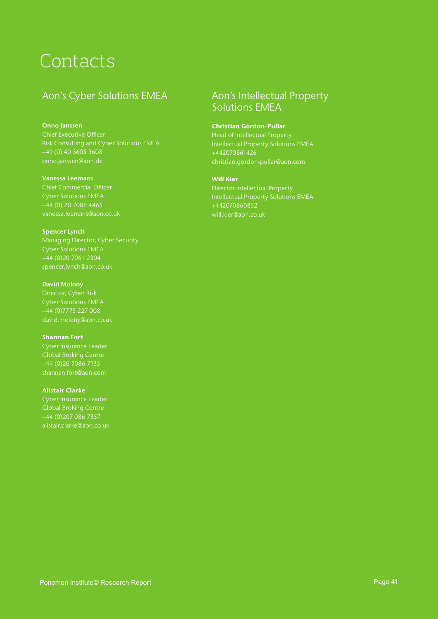# Contacts

### Aon's Cyber Solutions EMEA

#### Onno Janssen

Chief Executive Officer +49 (0) 40 3605 3608

#### Vanessa Leemans

Chief Commercial Officer Cyber Solutions EMEA vanessa.leemans@aon.co.uk

Spencer Lynch Managing Director, Cyber Security Cyber Solutions EMEA +44 (0)20 7061 2304

#### David Molony Cyber Solutions EMEA +44 (0)7775 227 008 david.molony@aon.co.uk

Shannan Fort Global Broking Centre +44 (0)20 7086 7135

#### Alistair Clarke

Cyber Insurance Leader Global Broking Centre +44 (0)207 086 7357 alistair.clarke@aon.co.uk

### Aon's Intellectual Property Solutions EMEA

#### Christian Gordon-Pullar

Intellectual Property Solutions EMEA +442070861426

#### Will Kier

Intellectual Property Solutions EMEA +442070860852 will.kier@aon.co.uk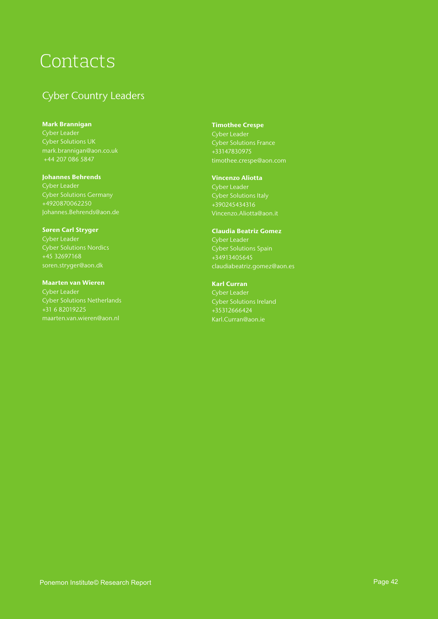# Contacts

### Cyber Country Leaders

Mark Brannigan mark.brannigan@aon.co.uk +44 207 086 5847

Johannes Behrends +4920870062250

Søren Carl Stryger +45 32697168 soren.stryger@aon.dk

Maarten van Wieren Cyber Leader +31 6 82019225

Timothee Crespe Cyber Leader Cyber Solutions France +33147830975 timothee.crespe@aon.com

Vincenzo Aliotta +390245434316

Claudia Beatriz Gomez Cyber Leader +34913405645 claudiabeatriz.gomez@aon.es

Karl Curran +35312666424